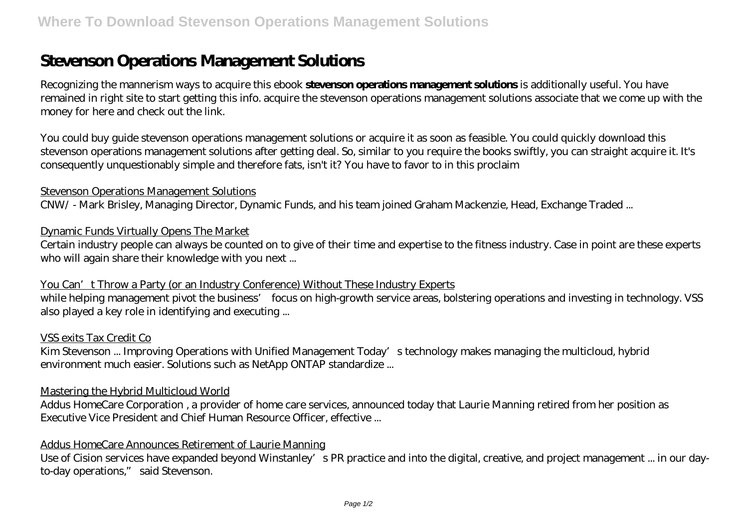# **Stevenson Operations Management Solutions**

Recognizing the mannerism ways to acquire this ebook **stevenson operations management solutions** is additionally useful. You have remained in right site to start getting this info. acquire the stevenson operations management solutions associate that we come up with the money for here and check out the link.

You could buy guide stevenson operations management solutions or acquire it as soon as feasible. You could quickly download this stevenson operations management solutions after getting deal. So, similar to you require the books swiftly, you can straight acquire it. It's consequently unquestionably simple and therefore fats, isn't it? You have to favor to in this proclaim

### Stevenson Operations Management Solutions

CNW/ - Mark Brisley, Managing Director, Dynamic Funds, and his team joined Graham Mackenzie, Head, Exchange Traded ...

### Dynamic Funds Virtually Opens The Market

Certain industry people can always be counted on to give of their time and expertise to the fitness industry. Case in point are these experts who will again share their knowledge with you next ...

### You Can't Throw a Party (or an Industry Conference) Without These Industry Experts

while helping management pivot the business' focus on high-growth service areas, bolstering operations and investing in technology. VSS also played a key role in identifying and executing ...

### VSS exits Tax Credit Co

Kim Stevenson ... Improving Operations with Unified Management Today's technology makes managing the multicloud, hybrid environment much easier. Solutions such as NetApp ONTAP standardize ...

### Mastering the Hybrid Multicloud World

Addus HomeCare Corporation , a provider of home care services, announced today that Laurie Manning retired from her position as Executive Vice President and Chief Human Resource Officer, effective ...

### Addus HomeCare Announces Retirement of Laurie Manning

Use of Cision services have expanded beyond Winstanley's PR practice and into the digital, creative, and project management ... in our dayto-day operations," said Stevenson.